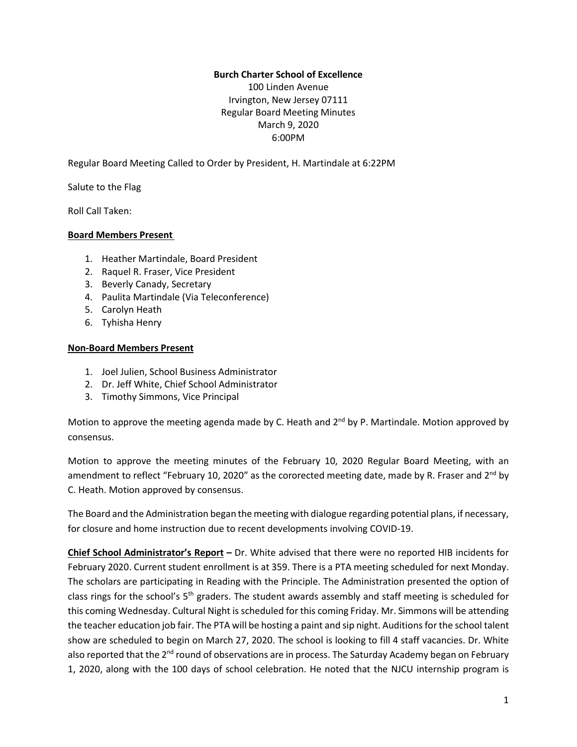#### **Burch Charter School of Excellence**

100 Linden Avenue Irvington, New Jersey 07111 Regular Board Meeting Minutes March 9, 2020 6:00PM

Regular Board Meeting Called to Order by President, H. Martindale at 6:22PM

Salute to the Flag

Roll Call Taken:

#### **Board Members Present**

- 1. Heather Martindale, Board President
- 2. Raquel R. Fraser, Vice President
- 3. Beverly Canady, Secretary
- 4. Paulita Martindale (Via Teleconference)
- 5. Carolyn Heath
- 6. Tyhisha Henry

#### **Non-Board Members Present**

- 1. Joel Julien, School Business Administrator
- 2. Dr. Jeff White, Chief School Administrator
- 3. Timothy Simmons, Vice Principal

Motion to approve the meeting agenda made by C. Heath and 2<sup>nd</sup> by P. Martindale. Motion approved by consensus.

Motion to approve the meeting minutes of the February 10, 2020 Regular Board Meeting, with an amendment to reflect "February 10, 2020" as the cororected meeting date, made by R. Fraser and 2<sup>nd</sup> by C. Heath. Motion approved by consensus.

The Board and the Administration began the meeting with dialogue regarding potential plans, if necessary, for closure and home instruction due to recent developments involving COVID-19.

**Chief School Administrator's Report –** Dr. White advised that there were no reported HIB incidents for February 2020. Current student enrollment is at 359. There is a PTA meeting scheduled for next Monday. The scholars are participating in Reading with the Principle. The Administration presented the option of class rings for the school's 5<sup>th</sup> graders. The student awards assembly and staff meeting is scheduled for this coming Wednesday. Cultural Night is scheduled for this coming Friday. Mr. Simmons will be attending the teacher education job fair. The PTA will be hosting a paint and sip night. Auditions for the school talent show are scheduled to begin on March 27, 2020. The school is looking to fill 4 staff vacancies. Dr. White also reported that the 2<sup>nd</sup> round of observations are in process. The Saturday Academy began on February 1, 2020, along with the 100 days of school celebration. He noted that the NJCU internship program is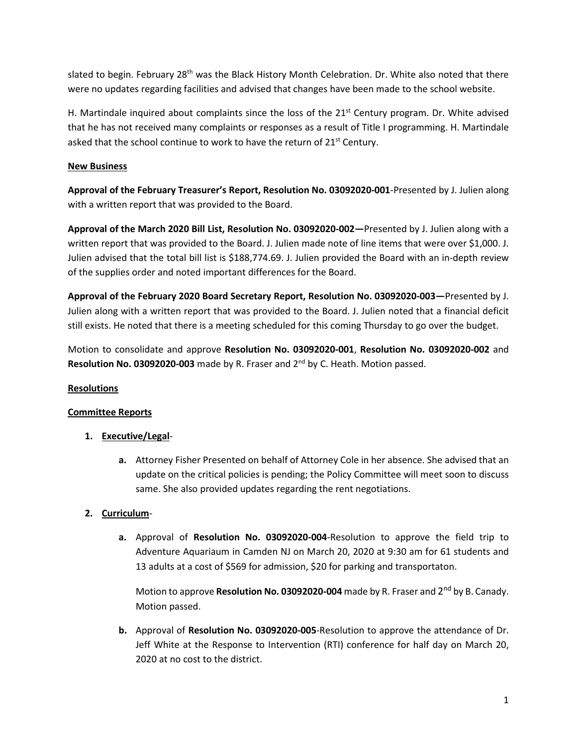slated to begin. February 28<sup>th</sup> was the Black History Month Celebration. Dr. White also noted that there were no updates regarding facilities and advised that changes have been made to the school website.

H. Martindale inquired about complaints since the loss of the  $21<sup>st</sup>$  Century program. Dr. White advised that he has not received many complaints or responses as a result of Title I programming. H. Martindale asked that the school continue to work to have the return of 21<sup>st</sup> Century.

## **New Business**

**Approval of the February Treasurer's Report, Resolution No. 03092020-001**-Presented by J. Julien along with a written report that was provided to the Board.

**Approval of the March 2020 Bill List, Resolution No. 03092020-002—**Presented by J. Julien along with a written report that was provided to the Board. J. Julien made note of line items that were over \$1,000. J. Julien advised that the total bill list is \$188,774.69. J. Julien provided the Board with an in-depth review of the supplies order and noted important differences for the Board.

**Approval of the February 2020 Board Secretary Report, Resolution No. 03092020-003—**Presented by J. Julien along with a written report that was provided to the Board. J. Julien noted that a financial deficit still exists. He noted that there is a meeting scheduled for this coming Thursday to go over the budget.

Motion to consolidate and approve **Resolution No. 03092020-001**, **Resolution No. 03092020-002** and Resolution No. 03092020-003 made by R. Fraser and 2<sup>nd</sup> by C. Heath. Motion passed.

### **Resolutions**

### **Committee Reports**

- **1. Executive/Legal**
	- **a.** Attorney Fisher Presented on behalf of Attorney Cole in her absence. She advised that an update on the critical policies is pending; the Policy Committee will meet soon to discuss same. She also provided updates regarding the rent negotiations.

### **2. Curriculum**-

**a.** Approval of **Resolution No. 03092020-004**-Resolution to approve the field trip to Adventure Aquariaum in Camden NJ on March 20, 2020 at 9:30 am for 61 students and 13 adults at a cost of \$569 for admission, \$20 for parking and transportaton.

Motion to approve **Resolution No. 03092020-004** made by R. Fraser and 2 nd by B. Canady. Motion passed.

**b.** Approval of **Resolution No. 03092020-005**-Resolution to approve the attendance of Dr. Jeff White at the Response to Intervention (RTI) conference for half day on March 20, 2020 at no cost to the district.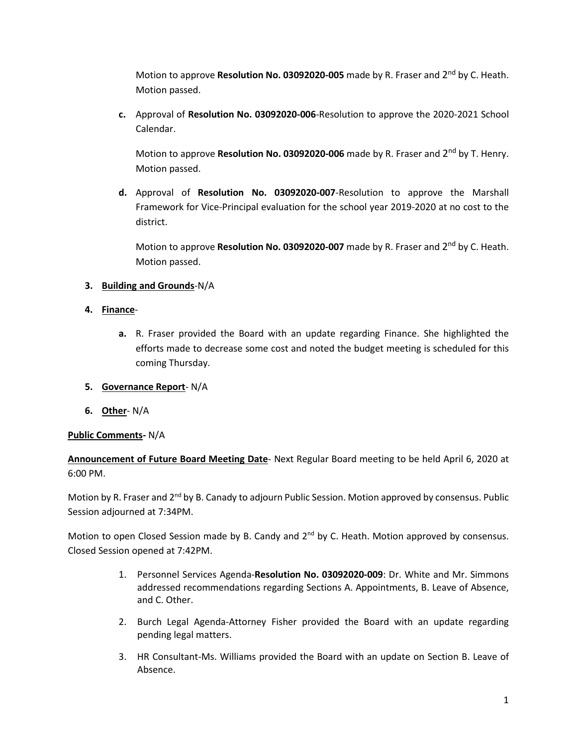Motion to approve **Resolution No. 03092020-005** made by R. Fraser and 2<sup>nd</sup> by C. Heath. Motion passed.

**c.** Approval of **Resolution No. 03092020-006**-Resolution to approve the 2020-2021 School Calendar.

Motion to approve **Resolution No. 03092020-006** made by R. Fraser and 2<sup>nd</sup> by T. Henry. Motion passed.

**d.** Approval of **Resolution No. 03092020-007**-Resolution to approve the Marshall Framework for Vice-Principal evaluation for the school year 2019-2020 at no cost to the district.

Motion to approve **Resolution No. 03092020-007** made by R. Fraser and 2<sup>nd</sup> by C. Heath. Motion passed.

# **3. Building and Grounds**-N/A

- **4. Finance**
	- **a.** R. Fraser provided the Board with an update regarding Finance. She highlighted the efforts made to decrease some cost and noted the budget meeting is scheduled for this coming Thursday.
- **5. Governance Report** N/A
- **6. Other** N/A

### **Public Comments-** N/A

**Announcement of Future Board Meeting Date**- Next Regular Board meeting to be held April 6, 2020 at 6:00 PM.

Motion by R. Fraser and 2<sup>nd</sup> by B. Canady to adjourn Public Session. Motion approved by consensus. Public Session adjourned at 7:34PM.

Motion to open Closed Session made by B. Candy and 2<sup>nd</sup> by C. Heath. Motion approved by consensus. Closed Session opened at 7:42PM.

- 1. Personnel Services Agenda-**Resolution No. 03092020-009**: Dr. White and Mr. Simmons addressed recommendations regarding Sections A. Appointments, B. Leave of Absence, and C. Other.
- 2. Burch Legal Agenda-Attorney Fisher provided the Board with an update regarding pending legal matters.
- 3. HR Consultant-Ms. Williams provided the Board with an update on Section B. Leave of Absence.